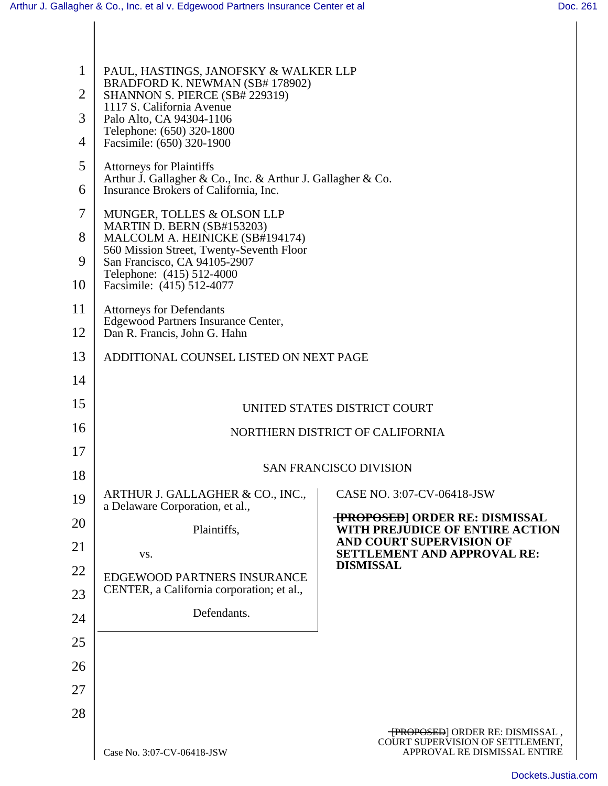| $\mathbf{1}$   | PAUL, HASTINGS, JANOFSKY & WALKER LLP                                                                |                                                                               |  |  |
|----------------|------------------------------------------------------------------------------------------------------|-------------------------------------------------------------------------------|--|--|
| $\overline{2}$ | BRADFORD K. NEWMAN (SB# 178902)<br>SHANNON S. PIERCE (SB# 229319)                                    |                                                                               |  |  |
| 3              | 1117 S. California Avenue<br>Palo Alto, CA 94304-1106                                                |                                                                               |  |  |
| 4              | Telephone: (650) 320-1800<br>Facsimile: (650) 320-1900                                               |                                                                               |  |  |
| 5              | <b>Attorneys for Plaintiffs</b>                                                                      |                                                                               |  |  |
| 6              | Arthur J. Gallagher & Co., Inc. & Arthur J. Gallagher & Co.<br>Insurance Brokers of California, Inc. |                                                                               |  |  |
| $\overline{7}$ | MUNGER, TOLLES & OLSON LLP                                                                           |                                                                               |  |  |
| 8              | MARTIN D. BERN (SB#153203)<br>MALCOLM A. HEINICKE (SB#194174)                                        |                                                                               |  |  |
| 9              | 560 Mission Street, Twenty-Seventh Floor<br>San Francisco, CA 94105-2907                             |                                                                               |  |  |
| 10             | Telephone: (415) 512-4000<br>Facsimile: (415) 512-4077                                               |                                                                               |  |  |
| 11             | <b>Attorneys for Defendants</b><br><b>Edgewood Partners Insurance Center,</b>                        |                                                                               |  |  |
| 12             | Dan R. Francis, John G. Hahn                                                                         |                                                                               |  |  |
| 13             | ADDITIONAL COUNSEL LISTED ON NEXT PAGE                                                               |                                                                               |  |  |
| 14             |                                                                                                      |                                                                               |  |  |
| 15             | UNITED STATES DISTRICT COURT                                                                         |                                                                               |  |  |
| 16             | NORTHERN DISTRICT OF CALIFORNIA                                                                      |                                                                               |  |  |
| 17             | <b>SAN FRANCISCO DIVISION</b>                                                                        |                                                                               |  |  |
| 18             |                                                                                                      |                                                                               |  |  |
| 19             | ARTHUR J. GALLAGHER & CO., INC.,   CASE NO. 3:07-CV-06418-JSW<br>a Delaware Corporation, et al.,     |                                                                               |  |  |
| 20             | Plaintiffs,                                                                                          | <b>{PROPOSED}</b> ORDER RE: DISMISSAL<br>WITH PREJUDICE OF ENTIRE ACTION      |  |  |
| 21             | VS.                                                                                                  | <b>AND COURT SUPERVISION OF</b><br><b>SETTLEMENT AND APPROVAL RE:</b>         |  |  |
| 22             | EDGEWOOD PARTNERS INSURANCE                                                                          | <b>DISMISSAL</b>                                                              |  |  |
| 23             | CENTER, a California corporation; et al.,                                                            |                                                                               |  |  |
| 24             | Defendants.                                                                                          |                                                                               |  |  |
| 25             |                                                                                                      |                                                                               |  |  |
| 26             |                                                                                                      |                                                                               |  |  |
| 27             |                                                                                                      |                                                                               |  |  |
| 28             |                                                                                                      |                                                                               |  |  |
|                |                                                                                                      | - <b>[PROPOSED</b> ] ORDER RE: DISMISSAL,<br>COURT SUPERVISION OF SETTLEMENT, |  |  |
|                | Case No. 3:07-CV-06418-JSW                                                                           | APPROVAL RE DISMISSAL ENTIRE                                                  |  |  |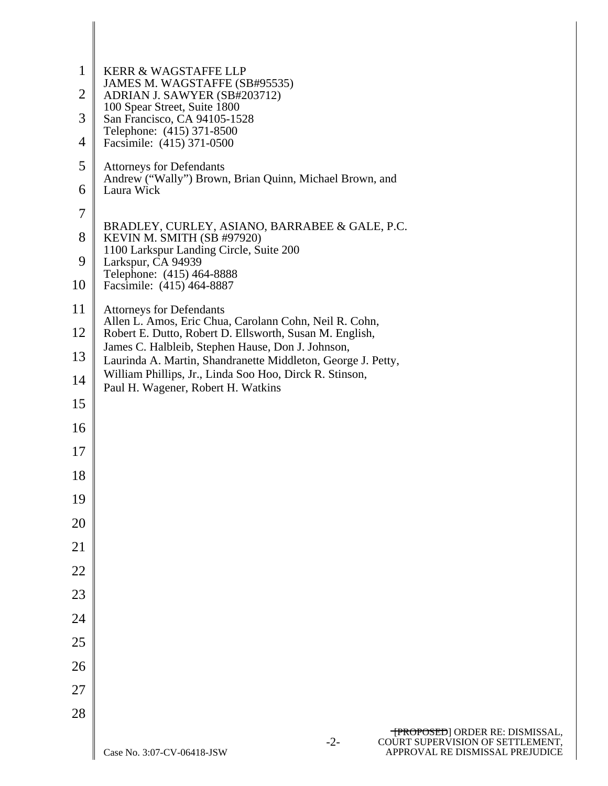| $\mathbf{1}$ | KERR & WAGSTAFFE LLP                                                                                                                                                         |  |  |  |  |  |
|--------------|------------------------------------------------------------------------------------------------------------------------------------------------------------------------------|--|--|--|--|--|
| 2            | JAMES M. WAGSTAFFE (SB#95535)<br>ADRIAN J. SAWYER (SB#203712)<br>100 Spear Street, Suite 1800                                                                                |  |  |  |  |  |
| 3            | San Francisco, CA 94105-1528<br>Telephone: (415) 371-8500                                                                                                                    |  |  |  |  |  |
| 4            | Facsimile: (415) 371-0500                                                                                                                                                    |  |  |  |  |  |
| 5            | <b>Attorneys for Defendants</b><br>Andrew ("Wally") Brown, Brian Quinn, Michael Brown, and                                                                                   |  |  |  |  |  |
| 6            | Laura Wick                                                                                                                                                                   |  |  |  |  |  |
| 7            | BRADLEY, CURLEY, ASIANO, BARRABEE & GALE, P.C.                                                                                                                               |  |  |  |  |  |
| 8            | KEVIN M. SMITH (SB #97920)<br>1100 Larkspur Landing Circle, Suite 200                                                                                                        |  |  |  |  |  |
| 9            | Larkspur, CA 94939<br>Telephone: (415) 464-8888                                                                                                                              |  |  |  |  |  |
| 10           | Facsimile: (415) 464-8887                                                                                                                                                    |  |  |  |  |  |
| 11           | <b>Attorneys for Defendants</b><br>Allen L. Amos, Eric Chua, Carolann Cohn, Neil R. Cohn,                                                                                    |  |  |  |  |  |
| 12           | Robert E. Dutto, Robert D. Ellsworth, Susan M. English,<br>James C. Halbleib, Stephen Hause, Don J. Johnson,<br>Laurinda A. Martin, Shandranette Middleton, George J. Petty, |  |  |  |  |  |
| 13           |                                                                                                                                                                              |  |  |  |  |  |
| 14           | William Phillips, Jr., Linda Soo Hoo, Dirck R. Stinson,<br>Paul H. Wagener, Robert H. Watkins                                                                                |  |  |  |  |  |
| 15           |                                                                                                                                                                              |  |  |  |  |  |
| 16           |                                                                                                                                                                              |  |  |  |  |  |
| 17           |                                                                                                                                                                              |  |  |  |  |  |
| 18           |                                                                                                                                                                              |  |  |  |  |  |
| 19           |                                                                                                                                                                              |  |  |  |  |  |
| 20           |                                                                                                                                                                              |  |  |  |  |  |
| 21           |                                                                                                                                                                              |  |  |  |  |  |
| 22           |                                                                                                                                                                              |  |  |  |  |  |
| 23           |                                                                                                                                                                              |  |  |  |  |  |
| 24           |                                                                                                                                                                              |  |  |  |  |  |
| 25           |                                                                                                                                                                              |  |  |  |  |  |
| 26           |                                                                                                                                                                              |  |  |  |  |  |
| 27           |                                                                                                                                                                              |  |  |  |  |  |
| 28           |                                                                                                                                                                              |  |  |  |  |  |
|              | <b>TPROPOSED</b> ] ORDER RE: DISMISSAL,<br>COURT SUPERVISION OF SETTLEMENT,<br>APPROVAL RE DISMISSAL PREJUDICE<br>$-2-$<br>Case No. 3:07-CV-06418-JSW                        |  |  |  |  |  |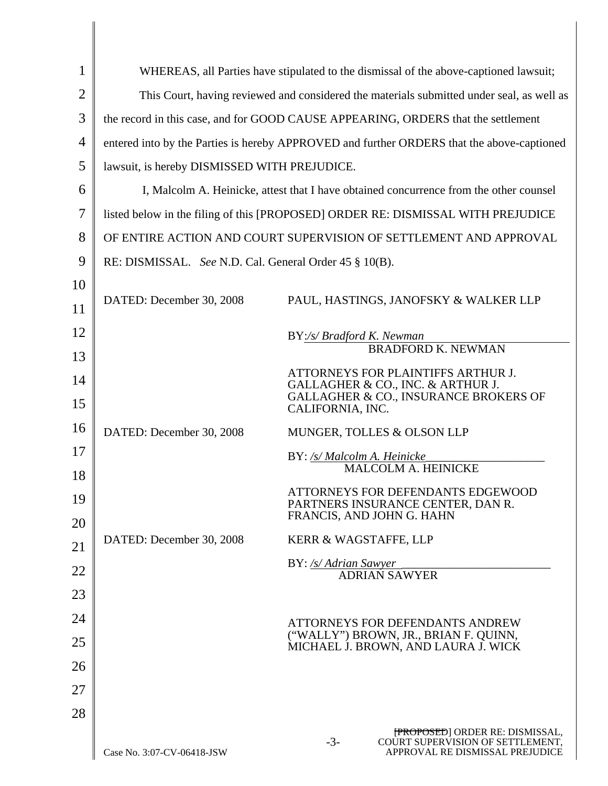| 1              | WHEREAS, all Parties have stipulated to the dismissal of the above-captioned lawsuit;      |                                                                                                                 |
|----------------|--------------------------------------------------------------------------------------------|-----------------------------------------------------------------------------------------------------------------|
| $\overline{2}$ | This Court, having reviewed and considered the materials submitted under seal, as well as  |                                                                                                                 |
| 3              | the record in this case, and for GOOD CAUSE APPEARING, ORDERS that the settlement          |                                                                                                                 |
| $\overline{4}$ | entered into by the Parties is hereby APPROVED and further ORDERS that the above-captioned |                                                                                                                 |
| 5              | lawsuit, is hereby DISMISSED WITH PREJUDICE.                                               |                                                                                                                 |
| 6              | I, Malcolm A. Heinicke, attest that I have obtained concurrence from the other counsel     |                                                                                                                 |
| 7              | listed below in the filing of this [PROPOSED] ORDER RE: DISMISSAL WITH PREJUDICE           |                                                                                                                 |
| 8              | OF ENTIRE ACTION AND COURT SUPERVISION OF SETTLEMENT AND APPROVAL                          |                                                                                                                 |
| 9              | RE: DISMISSAL. See N.D. Cal. General Order 45 § 10(B).                                     |                                                                                                                 |
| 10             |                                                                                            |                                                                                                                 |
| 11             | DATED: December 30, 2008                                                                   | PAUL, HASTINGS, JANOFSKY & WALKER LLP                                                                           |
| 12             |                                                                                            | BY:/s/ Bradford K. Newman                                                                                       |
| 13             |                                                                                            | <b>BRADFORD K. NEWMAN</b>                                                                                       |
| 14             |                                                                                            | ATTORNEYS FOR PLAINTIFFS ARTHUR J.<br>GALLAGHER & CO., INC. & ARTHUR J.                                         |
| 15             |                                                                                            | GALLAGHER & CO., INSURANCE BROKERS OF<br>CALIFORNIA, INC.                                                       |
| 16             | DATED: December 30, 2008                                                                   | MUNGER, TOLLES & OLSON LLP                                                                                      |
| 17             |                                                                                            | BY: /s/ Malcolm A. Heinicke<br>MALCOLM A. HEINICKE                                                              |
| 18             |                                                                                            |                                                                                                                 |
| 19<br>20       |                                                                                            | ATTORNEYS FOR DEFENDANTS EDGEWOOD<br>PARTNERS INSURANCE CENTER, DAN R.<br>FRANCIS, AND JOHN G. HAHN             |
| 21             | DATED: December 30, 2008                                                                   | KERR & WAGSTAFFE, LLP                                                                                           |
| 22             |                                                                                            | BY: /s/ Adrian Sawyer                                                                                           |
| 23             |                                                                                            | ADRIAN SAWYER                                                                                                   |
| 24             |                                                                                            |                                                                                                                 |
| 25             |                                                                                            | ATTORNEYS FOR DEFENDANTS ANDREW<br>("WALLY") BROWN, JR., BRIAN F. QUINN,                                        |
| 26             |                                                                                            | MICHAEL J. BROWN, AND LAURA J. WICK                                                                             |
| 27             |                                                                                            |                                                                                                                 |
| 28             |                                                                                            |                                                                                                                 |
|                | Case No. 3:07-CV-06418-JSW                                                                 | [PROPOSED] ORDER RE: DISMISSAL,<br>$-3-$<br>COURT SUPERVISION OF SETTLEMENT,<br>APPROVAL RE DISMISSAL PREJUDICE |